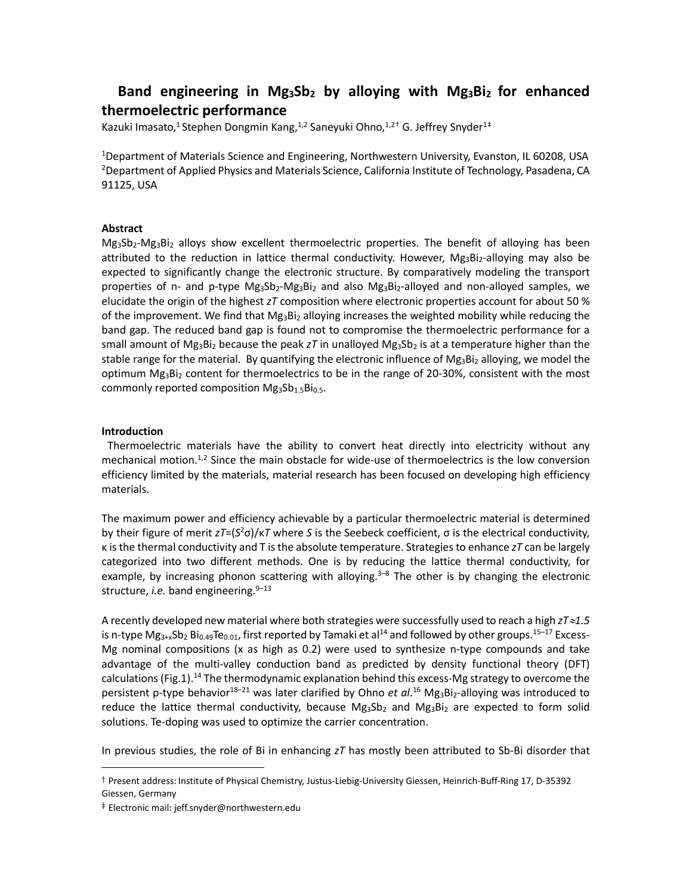# **Band engineering in Mg3Sb2 by alloying with Mg3Bi2 for enhanced thermoelectric performance**

Kazuki Imasato,<sup>1</sup> Stephen Dongmin Kang,<sup>1,2</sup> Saneyuki Ohno,<sup>1,2[†](#page-0-0)</sup> G. Jeffrey Snyder<sup>1[‡](#page-0-1)</sup>

1Department of Materials Science and Engineering, Northwestern University, Evanston, IL 60208, USA 2Department of Applied Physics and Materials Science, California Institute of Technology, Pasadena, CA 91125, USA

### **Abstract**

Mg3Sb2-Mg3Bi2 alloys show excellent thermoelectric properties. The benefit of alloying has been attributed to the reduction in lattice thermal conductivity. However,  $Mg_3Bi_2$ -alloying may also be expected to significantly change the electronic structure. By comparatively modeling the transport properties of n- and p-type  $Mg_3Sb_2-Mg_3Bi_2$  and also  $Mg_3Bi_2$ -alloyed and non-alloyed samples, we elucidate the origin of the highest *zT* composition where electronic properties account for about 50 % of the improvement. We find that  $Mg_3Bi_2$  alloying increases the weighted mobility while reducing the band gap. The reduced band gap is found not to compromise the thermoelectric performance for a small amount of Mg<sub>3</sub>B<sub>12</sub> because the peak *zT* in unalloyed Mg<sub>3</sub>Sb<sub>2</sub> is at a temperature higher than the stable range for the material. By quantifying the electronic influence of  $Mg_3Bi_2$  alloying, we model the optimum Mg<sub>3</sub>Bi<sub>2</sub> content for thermoelectrics to be in the range of 20-30%, consistent with the most commonly reported composition  $Mg_3Sb_{1.5}Bi_{0.5}$ .

# **Introduction**

Thermoelectric materials have the ability to convert heat directly into electricity without any mechanical motion.<sup>1,2</sup> Since the main obstacle for wide-use of thermoelectrics is the low conversion efficiency limited by the materials, material research has been focused on developing high efficiency materials.

The maximum power and efficiency achievable by a particular thermoelectric material is determined by their figure of merit *zT*=(*S*<sup>2</sup> σ)/κ*T* where *S* is the Seebeck coefficient, σ is the electrical conductivity, κ is the thermal conductivity and T is the absolute temperature. Strategies to enhance *zT* can be largely categorized into two different methods. One is by reducing the lattice thermal conductivity, for example, by increasing phonon scattering with alloying.<sup>3-8</sup> The other is by changing the electronic structure, *i.e.* band engineering.<sup>9-13</sup>

A recently developed new material where both strategies were successfully used to reach a high *zT*≈*1.5* is n-type Mg $_{3+\times}$ Sb $_2$  Bi $_{0.49}$ Te $_{0.01}$ , first reported by Tamaki et al $^{14}$  and followed by other groups. $^{15-17}$  Excess-Mg nominal compositions (x as high as 0.2) were used to synthesize n-type compounds and take advantage of the multi-valley conduction band as predicted by density functional theory (DFT) calculations (Fig.1).<sup>14</sup> The thermodynamic explanation behind this excess-Mg strategy to overcome the persistent p-type behavior<sup>18–21</sup> was later clarified by Ohno *et al*.<sup>16</sup> Mg<sub>3</sub>Bi<sub>2</sub>-alloying was introduced to reduce the lattice thermal conductivity, because  $Mg_3Sb_2$  and  $Mg_3Bi_2$  are expected to form solid solutions. Te-doping was used to optimize the carrier concentration.

In previous studies, the role of Bi in enhancing *zT* has mostly been attributed to Sb-Bi disorder that

<span id="page-0-0"></span> <sup>†</sup> Present address: Institute of Physical Chemistry, Justus-Liebig-University Giessen, Heinrich-Buff-Ring 17, D-35392 Giessen, Germany

<span id="page-0-1"></span><sup>‡</sup> Electronic mail: jeff.snyder@northwestern.edu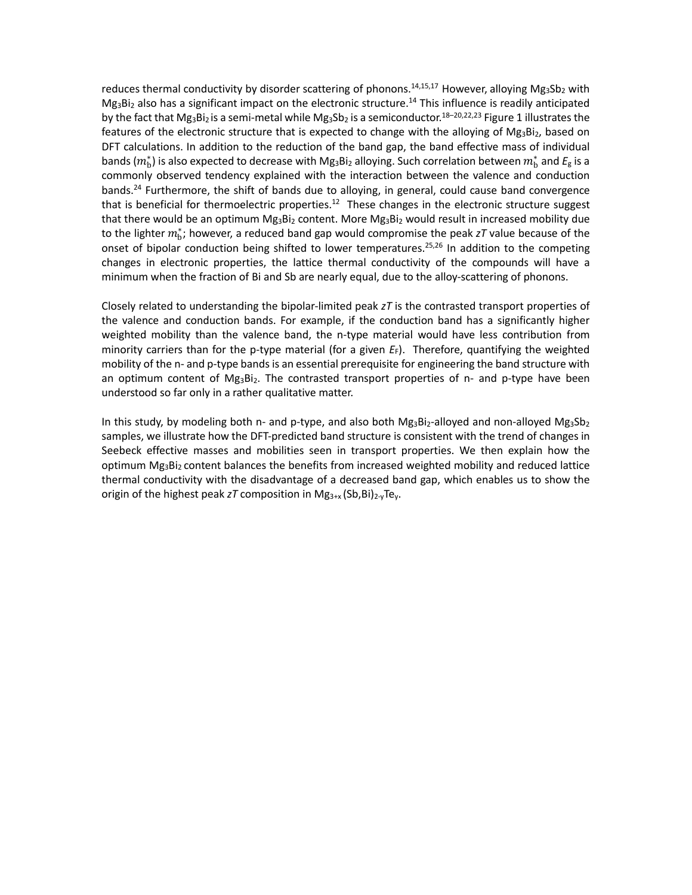reduces thermal conductivity by disorder scattering of phonons.<sup>14,15,17</sup> However, alloying Mg<sub>3</sub>Sb<sub>2</sub> with  $Mg_3Bi_2$  also has a significant impact on the electronic structure.<sup>14</sup> This influence is readily anticipated by the fact that Mg<sub>3</sub>Bi<sub>2</sub> is a semi-metal while Mg<sub>3</sub>Sb<sub>2</sub> is a semiconductor.<sup>18–20,22,23</sup> Figure 1 illustrates the features of the electronic structure that is expected to change with the alloying of  $Mg_3Bi_2$ , based on DFT calculations. In addition to the reduction of the band gap, the band effective mass of individual bands  $(m_b^\ast)$  is also expected to decrease with Mg<sub>3</sub>Bi<sub>2</sub> alloying. Such correlation between  $m_b^\ast$  and  $E_{\rm g}$  is a commonly observed tendency explained with the interaction between the valence and conduction bands.<sup>24</sup> Furthermore, the shift of bands due to alloying, in general, could cause band convergence that is beneficial for thermoelectric properties.<sup>12</sup> These changes in the electronic structure suggest that there would be an optimum  $Mg_3Bi_2$  content. More  $Mg_3Bi_2$  would result in increased mobility due to the lighter  $m_b^*$ ; however, a reduced band gap would compromise the peak *zT* value because of the onset of bipolar conduction being shifted to lower temperatures.<sup>25,26</sup> In addition to the competing changes in electronic properties, the lattice thermal conductivity of the compounds will have a minimum when the fraction of Bi and Sb are nearly equal, due to the alloy-scattering of phonons.

Closely related to understanding the bipolar-limited peak *zT* is the contrasted transport properties of the valence and conduction bands. For example, if the conduction band has a significantly higher weighted mobility than the valence band, the n-type material would have less contribution from minority carriers than for the p-type material (for a given *E*F). Therefore, quantifying the weighted mobility of the n- and p-type bands is an essential prerequisite for engineering the band structure with an optimum content of  $Mg_3Bi_2$ . The contrasted transport properties of n- and p-type have been understood so far only in a rather qualitative matter.

In this study, by modeling both n- and p-type, and also both  $Mg_3Bi_2$ -alloyed and non-alloyed  $Mg_3Sb_2$ samples, we illustrate how the DFT-predicted band structure is consistent with the trend of changes in Seebeck effective masses and mobilities seen in transport properties. We then explain how the optimum Mg<sub>3</sub>Bi<sub>2</sub> content balances the benefits from increased weighted mobility and reduced lattice thermal conductivity with the disadvantage of a decreased band gap, which enables us to show the origin of the highest peak  $zT$  composition in  $Mg_{3+x}$  (Sb, Bi)<sub>2-v</sub>Te<sub>v</sub>.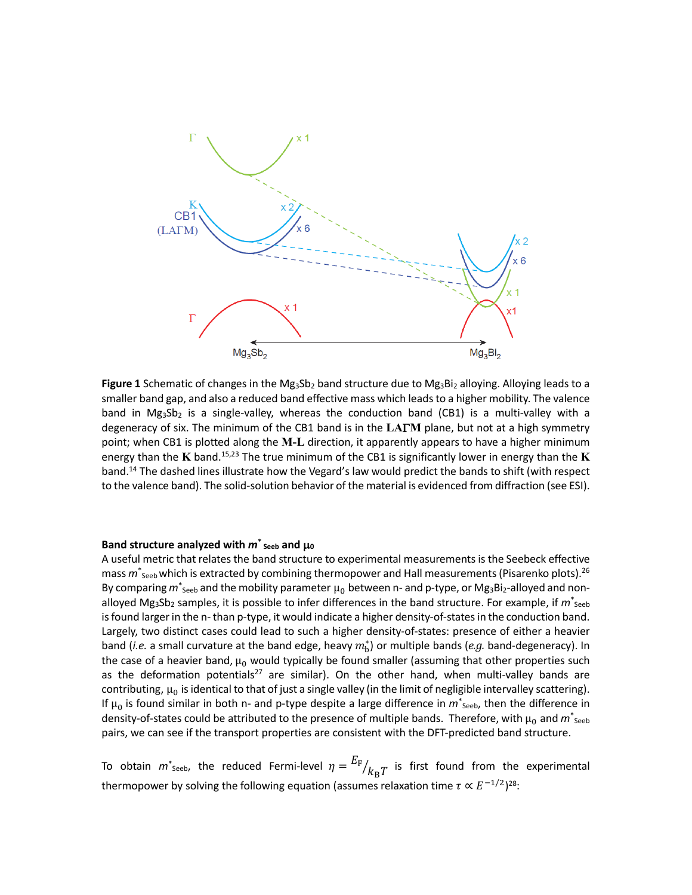

**Figure 1** Schematic of changes in the Mg<sub>3</sub>Sb<sub>2</sub> band structure due to Mg<sub>3</sub>Bi<sub>2</sub> alloying. Alloying leads to a smaller band gap, and also a reduced band effective mass which leads to a higher mobility. The valence band in  $Mg_3Sb_2$  is a single-valley, whereas the conduction band (CB1) is a multi-valley with a degeneracy of six. The minimum of the CB1 band is in the **LA**Γ**M** plane, but not at a high symmetry point; when CB1 is plotted along the **M-L** direction, it apparently appears to have a higher minimum energy than the **K** band. 15,23 The true minimum of the CB1 is significantly lower in energy than the **K** band. <sup>14</sup> The dashed lines illustrate how the Vegard's law would predict the bands to shift (with respect to the valence band). The solid-solution behavior of the material is evidenced from diffraction (see ESI).

### Band structure analyzed with  $m^*$ <sub>Seeb</sub> and  $\mu_0$

A useful metric that relates the band structure to experimental measurements is the Seebeck effective mass *m*\* Seeb which is extracted by combining thermopower and Hall measurements(Pisarenko plots). 26 By comparing  $m^*$ <sub>Seeb</sub> and the mobility parameter  $\mu_0$  between n- and p-type, or Mg<sub>3</sub>Bi<sub>2</sub>-alloyed and nonalloyed Mg<sub>3</sub>Sb<sub>2</sub> samples, it is possible to infer differences in the band structure. For example, if  $m^*_{\text{seeb}}$ is found larger in the n- than p-type, it would indicate a higher density-of-states in the conduction band. Largely, two distinct cases could lead to such a higher density-of-states: presence of either a heavier band (*i.e.* a small curvature at the band edge, heavy  $m_b^*$ ) or multiple bands (*e.g.* band-degeneracy). In the case of a heavier band,  $\mu_0$  would typically be found smaller (assuming that other properties such as the deformation potentials<sup>27</sup> are similar). On the other hand, when multi-valley bands are contributing,  $\mu_0$  is identical to that of just a single valley (in the limit of negligible intervalley scattering). If  $\mu_0$  is found similar in both n- and p-type despite a large difference in  $m^*_{\text{Seeb}}$ , then the difference in density-of-states could be attributed to the presence of multiple bands. Therefore, with  $\mu_0$  and  $m^*_{\,\rm{seeb}}$ pairs, we can see if the transport properties are consistent with the DFT-predicted band structure.

To obtain  $m^*$ <sub>Seeb</sub>, the reduced Fermi-level  $\eta = {E_F \over k_B T}$  is first found from the experimental thermopower by solving the following equation (assumes relaxation time  $\tau \propto E^{-1/2}$ )<sup>28</sup>: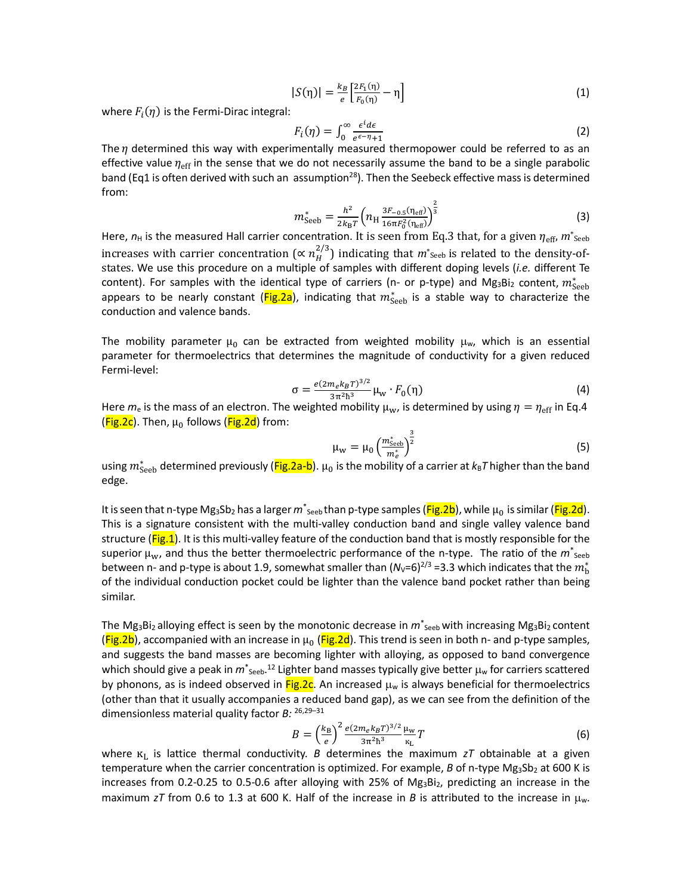$$
|S(\eta)| = \frac{k_B}{e} \left[ \frac{2F_1(\eta)}{F_0(\eta)} - \eta \right]
$$
 (1)

where  $F_i(\eta)$  is the Fermi-Dirac integral:

$$
F_i(\eta) = \int_0^\infty \frac{\epsilon^i d\epsilon}{e^{\epsilon-\eta}+1}
$$
 (2)

The  $\eta$  determined this way with experimentally measured thermopower could be referred to as an effective value  $\eta_{\text{eff}}$  in the sense that we do not necessarily assume the band to be a single parabolic band (Eq1 is often derived with such an assumption<sup>28</sup>). Then the Seebeck effective mass is determined from:

$$
m_{\text{Seeb}}^* = \frac{h^2}{2k_{\text{B}}T} \left( n_{\text{H}} \frac{3F_{-0.5}(\eta_{\text{eff}})}{16\pi F_0^2(\eta_{\text{eff}})} \right)^{\frac{2}{3}}
$$
(3)

Here,  $n_H$  is the measured Hall carrier concentration. It is seen from Eq.3 that, for a given  $\eta_{\text{eff}}$ ,  $m^*_{\text{Seeb}}$ increases with carrier concentration ( $\propto n_H^{2/3}$ ) indicating that  $m^*$ <sub>Seeb</sub> is related to the density-ofstates. We use this procedure on a multiple of samples with different doping levels (*i.e.* different Te content). For samples with the identical type of carriers (n- or p-type) and Mg<sub>3</sub>Bi<sub>2</sub> content,  $m^*_{\rm Seeb}$ appears to be nearly constant (Fig.2a), indicating that  $m^*_{\rm{seek}}$  is a stable way to characterize the conduction and valence bands.

The mobility parameter  $\mu_0$  can be extracted from weighted mobility  $\mu_w$ , which is an essential parameter for thermoelectrics that determines the magnitude of conductivity for a given reduced Fermi-level:

$$
\sigma = \frac{e(2m_e k_B T)^{3/2}}{3\pi^2 h^3} \mu_{\rm w} \cdot F_0(\eta) \tag{4}
$$

Here  $m_e$  is the mass of an electron. The weighted mobility  $\mu_w$ , is determined by using  $\eta = \eta_{\rm eff}$  in Eq.4 ( $Fig.2c$ ). Then,  $\mu_0$  follows ( $Fig.2d$ ) from:

$$
\mu_{\rm w} = \mu_0 \left( \frac{m_{\rm Seeb}^*}{m_e^*} \right)^{\frac{3}{2}} \tag{5}
$$

using  $m^*_{\text{Seeb}}$  determined previously (Fig.2a-b).  $\mu_0$  is the mobility of a carrier at  $k_{\text{B}}\tau$  higher than the band edge.

It is seen that n-type Mg<sub>3</sub>Sb<sub>2</sub> has a larger  $m^*$ <sub>seeb</sub> than p-type samples (<mark>Fig.2b</mark>), while μ<sub>0</sub> is similar (<mark>Fig.2d</mark>). This is a signature consistent with the multi-valley conduction band and single valley valence band structure (Fig.1). It is this multi-valley feature of the conduction band that is mostly responsible for the superior  $\mu_w$ , and thus the better thermoelectric performance of the n-type. The ratio of the  $m^*_{\text{seek}}$ between n- and p-type is about 1.9, somewhat smaller than  $(N_v=6)^{2/3}$  =3.3 which indicates that the  $m_{\rm b}^*$ of the individual conduction pocket could be lighter than the valence band pocket rather than being similar.

The Mg<sub>3</sub>Bi<sub>2</sub> alloying effect is seen by the monotonic decrease in  $m^*_{\text{seeb}}$  with increasing Mg<sub>3</sub>Bi<sub>2</sub> content  $(Fig.2b)$ , accompanied with an increase in  $\mu_0$  (Fig.2d). This trend is seen in both n- and p-type samples, and suggests the band masses are becoming lighter with alloying, as opposed to band convergence which should give a peak in  $m^*_{\text{Seeb}}$ .<sup>12</sup> Lighter band masses typically give better  $\mu_w$  for carriers scattered by phonons, as is indeed observed in  $Fig.2c$ . An increased  $\mu_w$  is always beneficial for thermoelectrics (other than that it usually accompanies a reduced band gap), as we can see from the definition of the dimensionless material quality factor *B:* 26,29–31

$$
B = \left(\frac{k_{\rm B}}{e}\right)^2 \frac{e(2m_e k_B T)^{3/2}}{3\pi^2 \hbar^3} \frac{\mu_{\rm w}}{\kappa_{\rm L}} T \tag{6}
$$

 $\frac{e}{\pi}$  3π<sup>2</sup>h<sup>3</sup>  $\frac{R}{L}$ <br>where  $\frac{R}{L}$  is lattice thermal conductivity. *B* determines the maximum *zT* obtainable at a given temperature when the carrier concentration is optimized. For example, *B* of n-type Mg<sub>3</sub>Sb<sub>2</sub> at 600 K is increases from 0.2-0.25 to 0.5-0.6 after alloying with 25% of  $Mg_3Bi_2$ , predicting an increase in the maximum *zT* from 0.6 to 1.3 at 600 K. Half of the increase in *B* is attributed to the increase in  $\mu_w$ .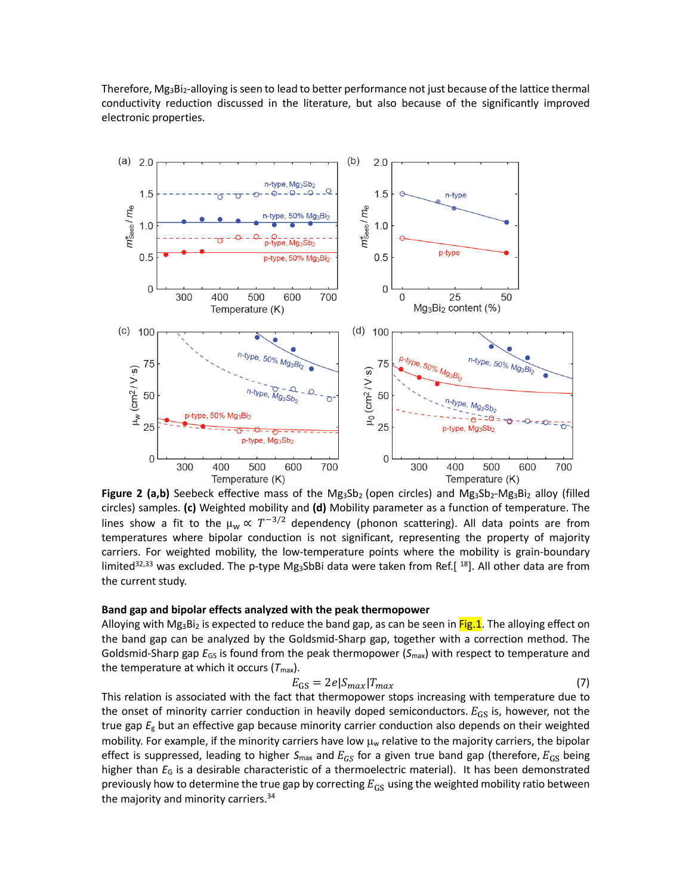Therefore, Mg<sub>3</sub>Bi<sub>2</sub>-alloying is seen to lead to better performance not just because of the lattice thermal conductivity reduction discussed in the literature, but also because of the significantly improved electronic properties.



Figure 2 (a,b) Seebeck effective mass of the Mg<sub>3</sub>Sb<sub>2</sub> (open circles) and Mg<sub>3</sub>Sb<sub>2</sub>-Mg<sub>3</sub>Bi<sub>2</sub> alloy (filled circles) samples. **(c)** Weighted mobility and **(d)** Mobility parameter as a function of temperature. The lines show a fit to the  $\mu_w \propto T^{-3/2}$  dependency (phonon scattering). All data points are from temperatures where bipolar conduction is not significant, representing the property of majority carriers. For weighted mobility, the low-temperature points where the mobility is grain-boundary limited<sup>32,33</sup> was excluded. The p-type Mg<sub>3</sub>SbBi data were taken from Ref.[<sup>18</sup>]. All other data are from the current study.

#### **Band gap and bipolar effects analyzed with the peak thermopower**

Alloying with Mg<sub>3</sub>Bi<sub>2</sub> is expected to reduce the band gap, as can be seen in Fig.1. The alloying effect on the band gap can be analyzed by the Goldsmid-Sharp gap, together with a correction method. The Goldsmid-Sharp gap *E*GS is found from the peak thermopower (*S*max) with respect to temperature and the temperature at which it occurs  $(T<sub>max</sub>)$ .

$$
E_{\rm GS} = 2e|S_{max}|T_{max} \tag{7}
$$

This relation is associated with the fact that thermopower stops increasing with temperature due to the onset of minority carrier conduction in heavily doped semiconductors.  $E_{GS}$  is, however, not the true gap *E*<sup>g</sup> but an effective gap because minority carrier conduction also depends on their weighted mobility. For example, if the minority carriers have low  $\mu_w$  relative to the majority carriers, the bipolar effect is suppressed, leading to higher  $S_{\text{max}}$  and  $E_{GS}$  for a given true band gap (therefore,  $E_{GS}$  being higher than *E*<sup>G</sup> is a desirable characteristic of a thermoelectric material). It has been demonstrated previously how to determine the true gap by correcting  $E_{GS}$  using the weighted mobility ratio between the majority and minority carriers.<sup>34</sup>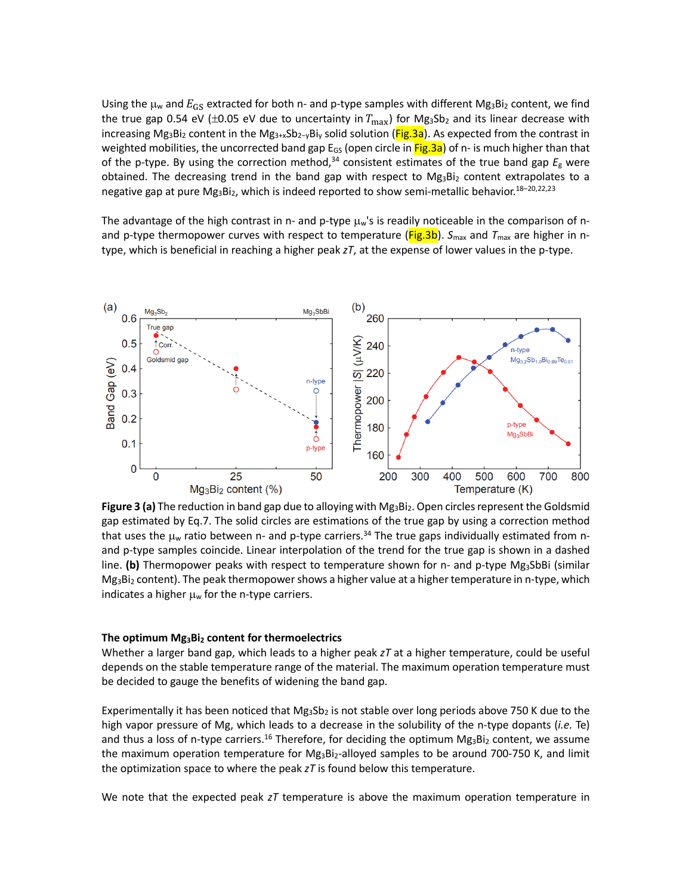Using the  $\mu_w$  and  $E_{GS}$  extracted for both n- and p-type samples with different Mg<sub>3</sub>Bi<sub>2</sub> content, we find the true gap 0.54 eV ( $\pm$ 0.05 eV due to uncertainty in  $T_{\text{max}}$ ) for Mg<sub>3</sub>Sb<sub>2</sub> and its linear decrease with increasing Mg<sub>3</sub>Bi<sub>2</sub> content in the Mg<sub>3+x</sub>Sb<sub>2-y</sub>Bi<sub>y</sub> solid solution (Fig.3a). As expected from the contrast in weighted mobilities, the uncorrected band gap  $E_{GS}$  (open circle in  $Fig.3a$ ) of n- is much higher than that of the p-type. By using the correction method, <sup>34</sup> consistent estimates of the true band gap *E*<sup>g</sup> were obtained. The decreasing trend in the band gap with respect to  $Mg_3Bi_2$  content extrapolates to a negative gap at pure Mg<sub>3</sub>Bi<sub>2</sub>, which is indeed reported to show semi-metallic behavior.<sup>18-20,22,23</sup>

The advantage of the high contrast in n- and p-type  $\mu$ w's is readily noticeable in the comparison of nand p-type thermopower curves with respect to temperature (Fig.3b). S<sub>max</sub> and T<sub>max</sub> are higher in ntype, which is beneficial in reaching a higher peak *zT*, at the expense of lower values in the p-type.



**Figure 3 (a)** The reduction in band gap due to alloying with Mg<sub>3</sub>Bi<sub>2</sub>. Open circles represent the Goldsmid gap estimated by Eq.7. The solid circles are estimations of the true gap by using a correction method that uses the  $\mu_w$  ratio between n- and p-type carriers.<sup>34</sup> The true gaps individually estimated from nand p-type samples coincide. Linear interpolation of the trend for the true gap is shown in a dashed line. (b) Thermopower peaks with respect to temperature shown for n- and p-type Mg<sub>3</sub>SbBi (similar  $Mg_3Bi_2$  content). The peak thermopower shows a higher value at a higher temperature in n-type, which indicates a higher  $\mu_w$  for the n-type carriers.

#### **The optimum Mg3Bi2 content for thermoelectrics**

Whether a larger band gap, which leads to a higher peak *zT* at a higher temperature, could be useful depends on the stable temperature range of the material. The maximum operation temperature must be decided to gauge the benefits of widening the band gap.

Experimentally it has been noticed that  $Mg_3Sb_2$  is not stable over long periods above 750 K due to the high vapor pressure of Mg, which leads to a decrease in the solubility of the n-type dopants (*i.e.* Te) and thus a loss of n-type carriers.<sup>16</sup> Therefore, for deciding the optimum Mg<sub>3</sub>Bi<sub>2</sub> content, we assume the maximum operation temperature for  $Mg_3Bi_2$ -alloyed samples to be around 700-750 K, and limit the optimization space to where the peak *zT* is found below this temperature.

We note that the expected peak *zT* temperature is above the maximum operation temperature in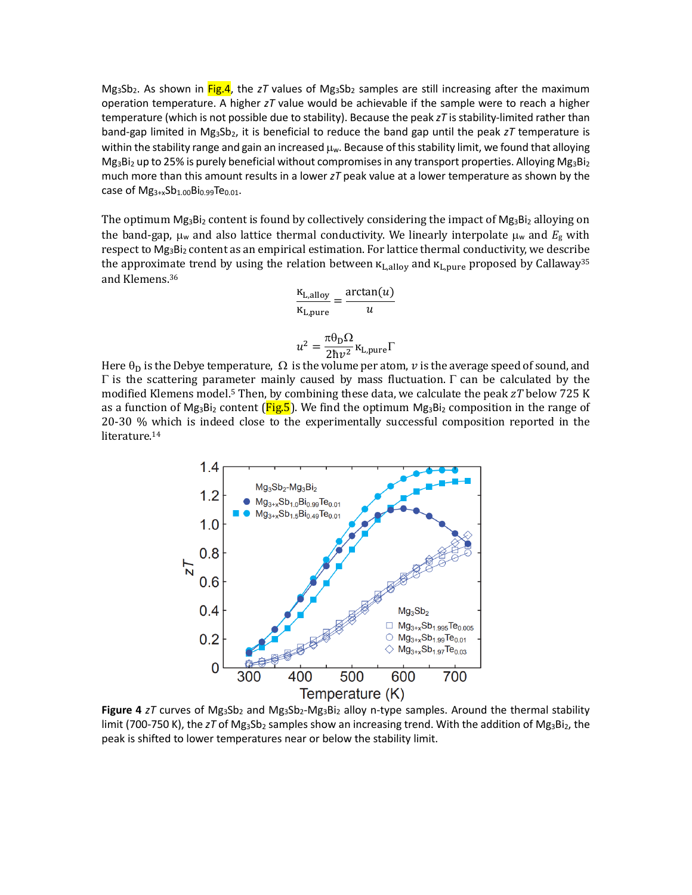$Mg_3Sb_2$ . As shown in Fig.4, the zT values of  $Mg_3Sb_2$  samples are still increasing after the maximum operation temperature. A higher *zT* value would be achievable if the sample were to reach a higher temperature (which is not possible due to stability). Because the peak *zT* is stability-limited rather than band-gap limited in Mg<sub>3</sub>Sb<sub>2</sub>, it is beneficial to reduce the band gap until the peak *zT* temperature is within the stability range and gain an increased  $\mu_w$ . Because of this stability limit, we found that alloying  $Mg_3Bi_2$  up to 25% is purely beneficial without compromises in any transport properties. Alloying  $Mg_3Bi_2$ much more than this amount results in a lower *zT* peak value at a lower temperature as shown by the case of  $Mg_{3+x}Sb_{1.00}Bi_{0.99}Te_{0.01}$ .

The optimum  $Mg_3Bi_2$  content is found by collectively considering the impact of  $Mg_3Bi_2$  alloying on the band-gap,  $\mu_w$  and also lattice thermal conductivity. We linearly interpolate  $\mu_w$  and  $E_g$  with respect to Mg<sub>3</sub>Bi<sub>2</sub> content as an empirical estimation. For lattice thermal conductivity, we describe the approximate trend by using the relation between  $\kappa_{\text{L,allow}}$  and  $\kappa_{\text{L,pure}}$  proposed by Callaway<sup>35</sup> and Klemens.36

$$
\frac{\kappa_{L,\text{alloy}}}{\kappa_{L,\text{pure}}} = \frac{\arctan(u)}{u}
$$

$$
u^2 = \frac{\pi \theta_D \Omega}{2\hbar v^2} \kappa_{L,\text{pure}} \Gamma
$$

Here  $\theta_D$  is the Debye temperature,  $\Omega$  is the volume per atom,  $\nu$  is the average speed of sound, and Γ is the scattering parameter mainly caused by mass fluctuation. Γ can be calculated by the modified Klemens model.5 Then, by combining these data, we calculate the peak *zT* below 725 K as a function of Mg<sub>3</sub>Bi<sub>2</sub> content ( $Fig.5$ ). We find the optimum Mg<sub>3</sub>Bi<sub>2</sub> composition in the range of 20-30 % which is indeed close to the experimentally successful composition reported in the literature.<sup>14</sup>



**Figure 4**  $zT$  curves of  $Mg_3Sb_2$  and  $Mg_3Sb_2-Mg_3Bi_2$  alloy n-type samples. Around the thermal stability limit (700-750 K), the  $zT$  of Mg<sub>3</sub>Sb<sub>2</sub> samples show an increasing trend. With the addition of Mg<sub>3</sub>Bi<sub>2</sub>, the peak is shifted to lower temperatures near or below the stability limit.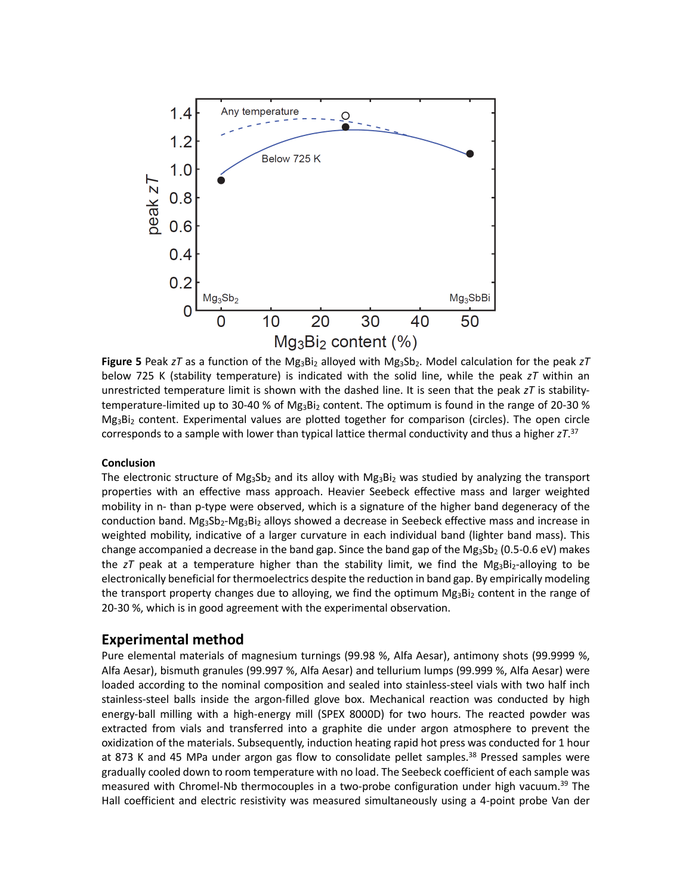

Figure 5 Peak *zT* as a function of the Mg<sub>3</sub>Bi<sub>2</sub> alloyed with Mg<sub>3</sub>Sb<sub>2</sub>. Model calculation for the peak *zT* below 725 K (stability temperature) is indicated with the solid line, while the peak *zT* within an unrestricted temperature limit is shown with the dashed line. It is seen that the peak *zT* is stabilitytemperature-limited up to 30-40 % of Mg<sub>3</sub>Bi<sub>2</sub> content. The optimum is found in the range of 20-30 %  $Mg_3Bi_2$  content. Experimental values are plotted together for comparison (circles). The open circle corresponds to a sample with lower than typical lattice thermal conductivity and thus a higher *zT*. 37

### **Conclusion**

The electronic structure of Mg<sub>3</sub>Sb<sub>2</sub> and its alloy with Mg<sub>3</sub>Bi<sub>2</sub> was studied by analyzing the transport properties with an effective mass approach. Heavier Seebeck effective mass and larger weighted mobility in n- than p-type were observed, which is a signature of the higher band degeneracy of the conduction band. Mg<sub>3</sub>Sb<sub>2</sub>-Mg<sub>3</sub>Bi<sub>2</sub> alloys showed a decrease in Seebeck effective mass and increase in weighted mobility, indicative of a larger curvature in each individual band (lighter band mass). This change accompanied a decrease in the band gap. Since the band gap of the  $Mg_3Sb_2$  (0.5-0.6 eV) makes the *zT* peak at a temperature higher than the stability limit, we find the Mg<sub>3</sub>Bi<sub>2</sub>-alloying to be electronically beneficial for thermoelectrics despite the reduction in band gap. By empirically modeling the transport property changes due to alloying, we find the optimum  $Mg_3Bi_2$  content in the range of 20-30 %, which is in good agreement with the experimental observation.

# **Experimental method**

Pure elemental materials of magnesium turnings (99.98 %, Alfa Aesar), antimony shots (99.9999 %, Alfa Aesar), bismuth granules (99.997 %, Alfa Aesar) and tellurium lumps (99.999 %, Alfa Aesar) were loaded according to the nominal composition and sealed into stainless-steel vials with two half inch stainless-steel balls inside the argon-filled glove box. Mechanical reaction was conducted by high energy-ball milling with a high-energy mill (SPEX 8000D) for two hours. The reacted powder was extracted from vials and transferred into a graphite die under argon atmosphere to prevent the oxidization of the materials. Subsequently, induction heating rapid hot press was conducted for 1 hour at 873 K and 45 MPa under argon gas flow to consolidate pellet samples.<sup>38</sup> Pressed samples were gradually cooled down to room temperature with no load. The Seebeck coefficient of each sample was measured with Chromel-Nb thermocouples in a two-probe configuration under high vacuum.<sup>39</sup> The Hall coefficient and electric resistivity was measured simultaneously using a 4-point probe Van der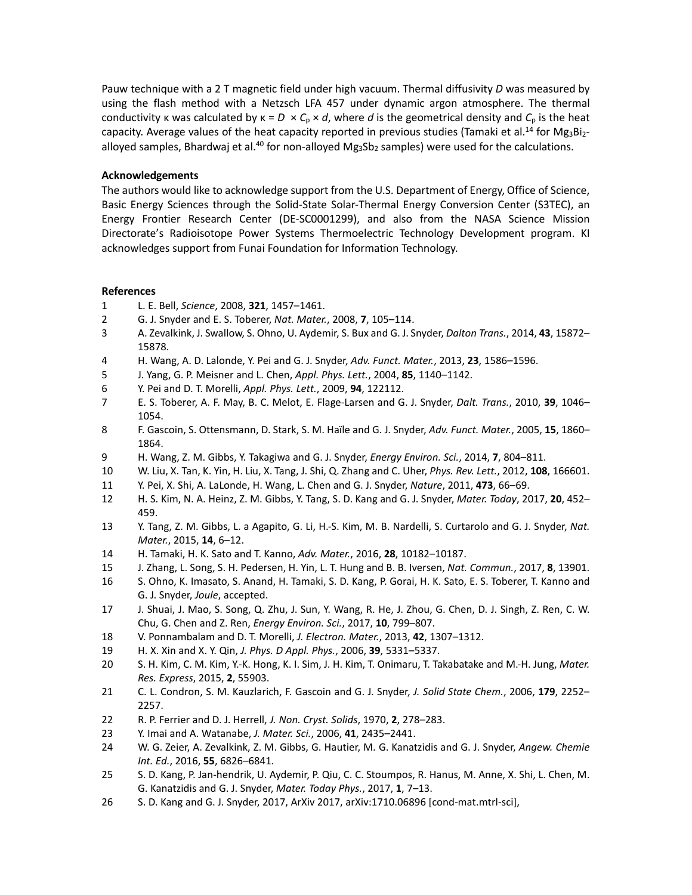Pauw technique with a 2 T magnetic field under high vacuum. Thermal diffusivity *D* was measured by using the flash method with a Netzsch LFA 457 under dynamic argon atmosphere. The thermal conductivity κ was calculated by  $\kappa = D \times C_p \times d$ , where *d* is the geometrical density and  $C_p$  is the heat capacity. Average values of the heat capacity reported in previous studies (Tamaki et al.<sup>14</sup> for Mg<sub>3</sub>Bi<sub>2</sub>alloyed samples, Bhardwaj et al.<sup>40</sup> for non-alloyed Mg<sub>3</sub>Sb<sub>2</sub> samples) were used for the calculations.

### **Acknowledgements**

The authors would like to acknowledge support from the U.S. Department of Energy, Office of Science, Basic Energy Sciences through the Solid-State Solar-Thermal Energy Conversion Center (S3TEC), an Energy Frontier Research Center (DE-SC0001299), and also from the NASA Science Mission Directorate's Radioisotope Power Systems Thermoelectric Technology Development program. KI acknowledges support from Funai Foundation for Information Technology.

### **References**

- 1 L. E. Bell, *Science*, 2008, **321**, 1457–1461.
- 2 G. J. Snyder and E. S. Toberer, *Nat. Mater.*, 2008, **7**, 105–114.
- 3 A. Zevalkink, J. Swallow, S. Ohno, U. Aydemir, S. Bux and G. J. Snyder, *Dalton Trans.*, 2014, **43**, 15872– 15878.
- 4 H. Wang, A. D. Lalonde, Y. Pei and G. J. Snyder, *Adv. Funct. Mater.*, 2013, **23**, 1586–1596.
- 5 J. Yang, G. P. Meisner and L. Chen, *Appl. Phys. Lett.*, 2004, **85**, 1140–1142.
- 6 Y. Pei and D. T. Morelli, *Appl. Phys. Lett.*, 2009, **94**, 122112.
- 7 E. S. Toberer, A. F. May, B. C. Melot, E. Flage-Larsen and G. J. Snyder, *Dalt. Trans.*, 2010, **39**, 1046– 1054.
- 8 F. Gascoin, S. Ottensmann, D. Stark, S. M. Haïle and G. J. Snyder, *Adv. Funct. Mater.*, 2005, **15**, 1860– 1864.
- 9 H. Wang, Z. M. Gibbs, Y. Takagiwa and G. J. Snyder, *Energy Environ. Sci.*, 2014, **7**, 804–811.
- 10 W. Liu, X. Tan, K. Yin, H. Liu, X. Tang, J. Shi, Q. Zhang and C. Uher, *Phys. Rev. Lett.*, 2012, **108**, 166601.
- 11 Y. Pei, X. Shi, A. LaLonde, H. Wang, L. Chen and G. J. Snyder, *Nature*, 2011, **473**, 66–69.
- 12 H. S. Kim, N. A. Heinz, Z. M. Gibbs, Y. Tang, S. D. Kang and G. J. Snyder, *Mater. Today*, 2017, **20**, 452– 459.
- 13 Y. Tang, Z. M. Gibbs, L. a Agapito, G. Li, H.-S. Kim, M. B. Nardelli, S. Curtarolo and G. J. Snyder, *Nat. Mater.*, 2015, **14**, 6–12.
- 14 H. Tamaki, H. K. Sato and T. Kanno, *Adv. Mater.*, 2016, **28**, 10182–10187.
- 15 J. Zhang, L. Song, S. H. Pedersen, H. Yin, L. T. Hung and B. B. Iversen, *Nat. Commun.*, 2017, **8**, 13901.
- 16 S. Ohno, K. Imasato, S. Anand, H. Tamaki, S. D. Kang, P. Gorai, H. K. Sato, E. S. Toberer, T. Kanno and G. J. Snyder, *Joule*, accepted.
- 17 J. Shuai, J. Mao, S. Song, Q. Zhu, J. Sun, Y. Wang, R. He, J. Zhou, G. Chen, D. J. Singh, Z. Ren, C. W. Chu, G. Chen and Z. Ren, *Energy Environ. Sci.*, 2017, **10**, 799–807.
- 18 V. Ponnambalam and D. T. Morelli, *J. Electron. Mater.*, 2013, **42**, 1307–1312.
- 19 H. X. Xin and X. Y. Qin, *J. Phys. D Appl. Phys.*, 2006, **39**, 5331–5337.
- 20 S. H. Kim, C. M. Kim, Y.-K. Hong, K. I. Sim, J. H. Kim, T. Onimaru, T. Takabatake and M.-H. Jung, *Mater. Res. Express*, 2015, **2**, 55903.
- 21 C. L. Condron, S. M. Kauzlarich, F. Gascoin and G. J. Snyder, *J. Solid State Chem.*, 2006, **179**, 2252– 2257.
- 22 R. P. Ferrier and D. J. Herrell, *J. Non. Cryst. Solids*, 1970, **2**, 278–283.
- 23 Y. Imai and A. Watanabe, *J. Mater. Sci.*, 2006, **41**, 2435–2441.
- 24 W. G. Zeier, A. Zevalkink, Z. M. Gibbs, G. Hautier, M. G. Kanatzidis and G. J. Snyder, *Angew. Chemie Int. Ed.*, 2016, **55**, 6826–6841.
- 25 S. D. Kang, P. Jan-hendrik, U. Aydemir, P. Qiu, C. C. Stoumpos, R. Hanus, M. Anne, X. Shi, L. Chen, M. G. Kanatzidis and G. J. Snyder, *Mater. Today Phys.*, 2017, **1**, 7–13.
- 26 S. D. Kang and G. J. Snyder, 2017, ArXiv 2017, arXiv:1710.06896 [cond-mat.mtrl-sci],